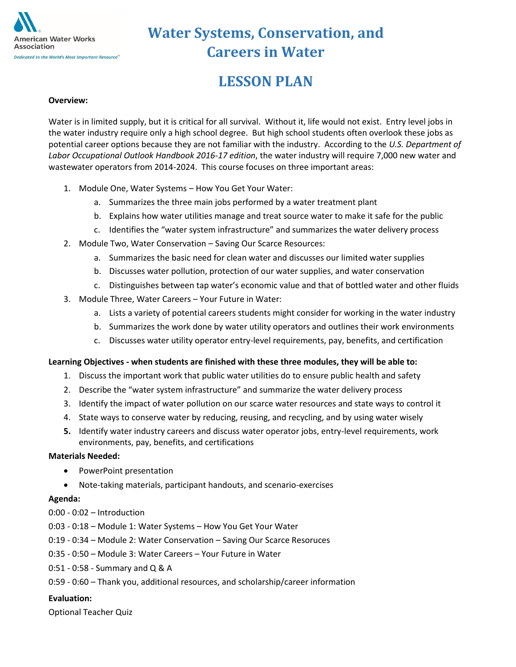

# **LESSON PLAN**

#### **Overview:**

Water is in limited supply, but it is critical for all survival. Without it, life would not exist. Entry level jobs in the water industry require only a high school degree. But high school students often overlook these jobs as potential career options because they are not familiar with the industry. According to the *U.S. Department of Labor Occupational Outlook Handbook 2016-17 edition*, the water industry will require 7,000 new water and wastewater operators from 2014-2024. This course focuses on three important areas:

- 1. Module One, Water Systems How You Get Your Water:
	- a. Summarizes the three main jobs performed by a water treatment plant
	- b. Explains how water utilities manage and treat source water to make it safe for the public
	- c. Identifies the "water system infrastructure" and summarizes the water delivery process
- 2. Module Two, Water Conservation Saving Our Scarce Resources:
	- a. Summarizes the basic need for clean water and discusses our limited water supplies
	- b. Discusses water pollution, protection of our water supplies, and water conservation
	- c. Distinguishes between tap water's economic value and that of bottled water and other fluids
- 3. Module Three, Water Careers Your Future in Water:
	- a. Lists a variety of potential careers students might consider for working in the water industry
	- b. Summarizes the work done by water utility operators and outlines their work environments
	- c. Discusses water utility operator entry-level requirements, pay, benefits, and certification

#### **Learning Objectives - when students are finished with these three modules, they will be able to:**

- 1. Discuss the important work that public water utilities do to ensure public health and safety
- 2. Describe the "water system infrastructure" and summarize the water delivery process
- 3. Identify the impact of water pollution on our scarce water resources and state ways to control it
- 4. State ways to conserve water by reducing, reusing, and recycling, and by using water wisely
- **5.** Identify water industry careers and discuss water operator jobs, entry-level requirements, work environments, pay, benefits, and certifications

#### **Materials Needed:**

- PowerPoint presentation
- Note-taking materials, participant handouts, and scenario-exercises

#### **Agenda:**

- 0:00 0:02 Introduction
- 0:03 0:18 Module 1: Water Systems How You Get Your Water
- 0:19 0:34 Module 2: Water Conservation Saving Our Scarce Resoruces
- 0:35 0:50 Module 3: Water Careers Your Future in Water
- 0:51 0:58 Summary and Q & A
- 0:59 0:60 Thank you, additional resources, and scholarship/career information

#### **Evaluation:**

Optional Teacher Quiz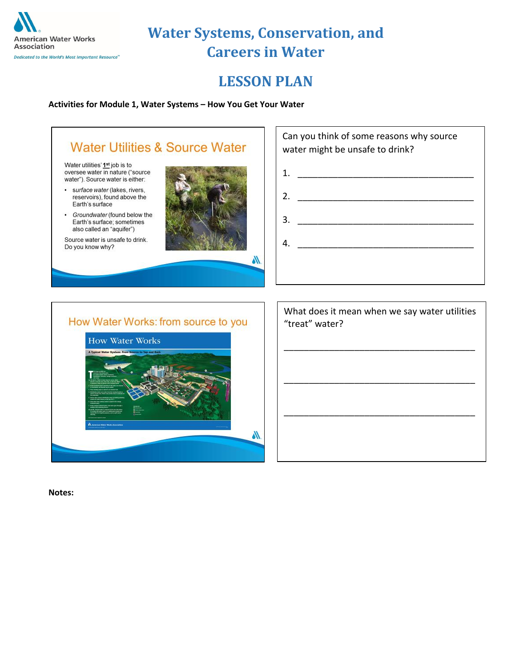

## **LESSON PLAN**

#### **Activities for Module 1, Water Systems – How You Get Your Water**



Water utilities' 1<sup>st</sup> job is to<br>oversee water in nature ("source water"). Source water is either:

- · surface water (lakes, rivers, reservoirs), found above the Earth's surface
- Groundwater (found below the Earth's surface; sometimes also called an "aquifer")

Source water is unsafe to drink. Do you know why?



| Can you think of some reasons why source<br>water might be unsafe to drink? |
|-----------------------------------------------------------------------------|
| 1.                                                                          |
| 2.                                                                          |
| 3.                                                                          |
| 4.                                                                          |
|                                                                             |

#### How Water Works: from source to you



| What does it mean when we say water utilities<br>"treat" water? |
|-----------------------------------------------------------------|
|                                                                 |
|                                                                 |
|                                                                 |
|                                                                 |
|                                                                 |

**Notes:**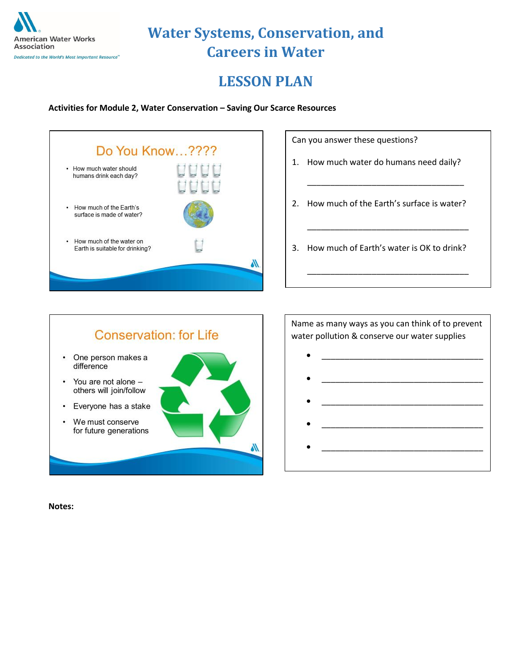

# **LESSON PLAN**

**Activities for Module 2, Water Conservation – Saving Our Scarce Resources**



Can you answer these questions?

- 1. How much water do humans need daily?
- 2. How much of the Earth's surface is water?

\_\_\_\_\_\_\_\_\_\_\_\_\_\_\_\_\_\_\_\_\_\_\_\_\_\_\_\_\_\_\_\_\_\_

\_\_\_\_\_\_\_\_\_\_\_\_\_\_\_\_\_\_\_\_\_\_\_\_\_\_\_\_\_\_\_\_\_\_\_

\_\_\_\_\_\_\_\_\_\_\_\_\_\_\_\_\_\_\_\_\_\_\_\_\_\_\_\_\_\_\_\_\_\_\_

3. How much of Earth's water is OK to drink?



Name as many ways as you can think of to prevent water pollution & conserve our water supplies

- $\bullet$   $\qquad \qquad$   $\qquad$   $\qquad$   $\qquad$   $\qquad$   $\qquad$   $\qquad$   $\qquad$   $\qquad$   $\qquad$   $\qquad$   $\qquad$   $\qquad$   $\qquad$   $\qquad$   $\qquad$   $\qquad$   $\qquad$   $\qquad$   $\qquad$   $\qquad$   $\qquad$   $\qquad$   $\qquad$   $\qquad$   $\qquad$   $\qquad$   $\qquad$   $\qquad$   $\qquad$   $\qquad$   $\qquad$   $\qquad$   $\qquad$   $\qquad$   $\q$  $\bullet$   $\qquad \qquad \qquad \qquad \qquad \qquad \qquad \qquad \qquad \qquad \qquad \qquad \qquad \qquad \qquad \qquad \qquad \qquad \qquad \qquad \qquad \qquad \qquad \qquad \qquad \qquad \qquad \qquad \qquad \qquad \qquad \qquad \qquad \qquad \qquad \qquad \qquad \qquad \qquad \qquad \qquad \qquad \qquad \q$
- $\bullet$   $\qquad \qquad \qquad \qquad \qquad \qquad \qquad \qquad \qquad \qquad \qquad \qquad \qquad \qquad \qquad \qquad \qquad \qquad \qquad \qquad \qquad \qquad \qquad \qquad \qquad \qquad \qquad \qquad \qquad \qquad \qquad \qquad \qquad \qquad \qquad \qquad \qquad \qquad \qquad \qquad \qquad \qquad \qquad \q$
- 
- $\bullet$   $\qquad \qquad \qquad \qquad \qquad \qquad \qquad \qquad \qquad \qquad \qquad \qquad \qquad \qquad \qquad \qquad \qquad \qquad \qquad \qquad \qquad \qquad \qquad \qquad \qquad \qquad \qquad \qquad \qquad \qquad \qquad \qquad \qquad \qquad \qquad \qquad \qquad \qquad \qquad \qquad \qquad \qquad \qquad \q$
- $\bullet$   $\qquad \qquad \qquad \qquad \qquad \qquad \qquad \qquad \qquad \qquad \qquad \qquad \qquad \qquad \qquad \qquad \qquad \qquad \qquad \qquad \qquad \qquad \qquad \qquad \qquad \qquad \qquad \qquad \qquad \qquad \qquad \qquad \qquad \qquad \qquad \qquad \qquad \qquad \qquad \qquad \qquad \qquad \qquad \q$

**Notes:**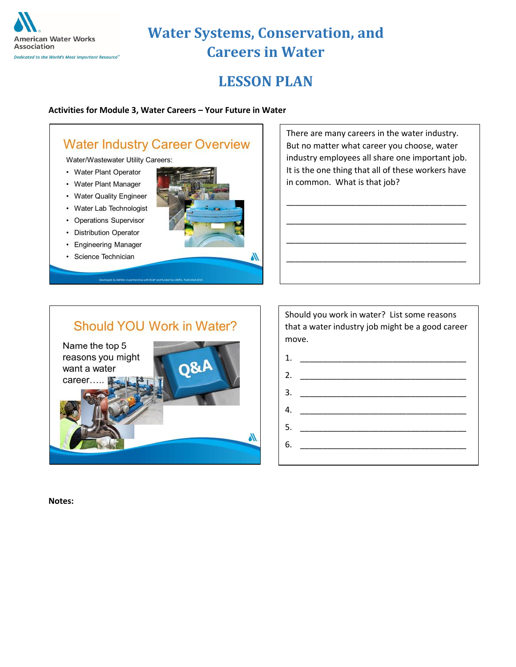

#### Dedicated to the World's Most Important Resource"

# **Water Systems, Conservation, and Careers in Water**

## **LESSON PLAN**

#### **Activities for Module 3, Water Careers – Your Future in Water**

### **Water Industry Career Overview**

Water/Wastewater Utility Careers:

- Water Plant Operator
- Water Plant Manager
- Water Quality Engineer
- Water Lab Technologist
- Operations Supervisor
- Distribution Operator
- Engineering Manager
- · Science Technician



There are many careers in the water industry. But no matter what career you choose, water industry employees all share one important job. It is the one thing that all of these workers have in common. What is that job?

\_\_\_\_\_\_\_\_\_\_\_\_\_\_\_\_\_\_\_\_\_\_\_\_\_\_\_\_\_\_\_\_\_\_\_\_\_\_\_

\_\_\_\_\_\_\_\_\_\_\_\_\_\_\_\_\_\_\_\_\_\_\_\_\_\_\_\_\_\_\_\_\_\_\_\_\_\_\_

\_\_\_\_\_\_\_\_\_\_\_\_\_\_\_\_\_\_\_\_\_\_\_\_\_\_\_\_\_\_\_\_\_\_\_\_\_\_\_

\_\_\_\_\_\_\_\_\_\_\_\_\_\_\_\_\_\_\_\_\_\_\_\_\_\_\_\_\_\_\_\_\_\_\_\_\_\_\_

### Should YOU Work in Water?



Should you work in water? List some reasons that a water industry job might be a good career move.



**Notes:**